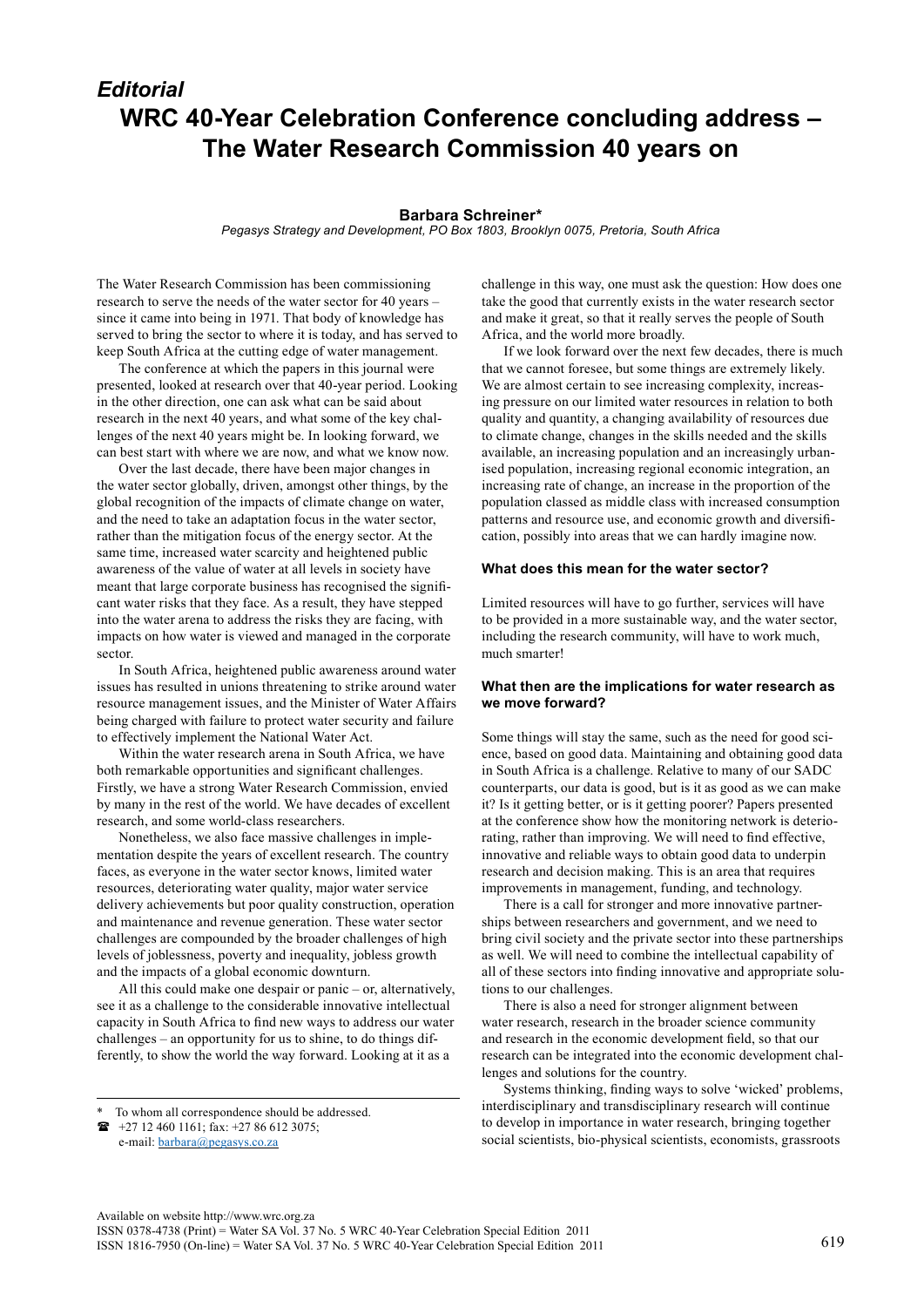## *Editorial* **WRC 40-Year Celebration Conference concluding address – The Water Research Commission 40 years on**

## **Barbara Schreiner\***

*Pegasys Strategy and Development, PO Box 1803, Brooklyn 0075, Pretoria, South Africa*

The Water Research Commission has been commissioning research to serve the needs of the water sector for 40 years – since it came into being in 1971. That body of knowledge has served to bring the sector to where it is today, and has served to keep South Africa at the cutting edge of water management.

The conference at which the papers in this journal were presented, looked at research over that 40-year period. Looking in the other direction, one can ask what can be said about research in the next 40 years, and what some of the key challenges of the next 40 years might be. In looking forward, we can best start with where we are now, and what we know now.

Over the last decade, there have been major changes in the water sector globally, driven, amongst other things, by the global recognition of the impacts of climate change on water, and the need to take an adaptation focus in the water sector, rather than the mitigation focus of the energy sector. At the same time, increased water scarcity and heightened public awareness of the value of water at all levels in society have meant that large corporate business has recognised the significant water risks that they face. As a result, they have stepped into the water arena to address the risks they are facing, with impacts on how water is viewed and managed in the corporate sector.

In South Africa, heightened public awareness around water issues has resulted in unions threatening to strike around water resource management issues, and the Minister of Water Affairs being charged with failure to protect water security and failure to effectively implement the National Water Act.

Within the water research arena in South Africa, we have both remarkable opportunities and significant challenges. Firstly, we have a strong Water Research Commission, envied by many in the rest of the world. We have decades of excellent research, and some world-class researchers.

Nonetheless, we also face massive challenges in implementation despite the years of excellent research. The country faces, as everyone in the water sector knows, limited water resources, deteriorating water quality, major water service delivery achievements but poor quality construction, operation and maintenance and revenue generation. These water sector challenges are compounded by the broader challenges of high levels of joblessness, poverty and inequality, jobless growth and the impacts of a global economic downturn.

All this could make one despair or panic – or, alternatively, see it as a challenge to the considerable innovative intellectual capacity in South Africa to find new ways to address our water challenges – an opportunity for us to shine, to do things differently, to show the world the way forward. Looking at it as a

e-mail: [barbara@pegasys.co.za](mailto:barbara@pegasys.co.za)

challenge in this way, one must ask the question: How does one take the good that currently exists in the water research sector and make it great, so that it really serves the people of South Africa, and the world more broadly.

If we look forward over the next few decades, there is much that we cannot foresee, but some things are extremely likely. We are almost certain to see increasing complexity, increasing pressure on our limited water resources in relation to both quality and quantity, a changing availability of resources due to climate change, changes in the skills needed and the skills available, an increasing population and an increasingly urbanised population, increasing regional economic integration, an increasing rate of change, an increase in the proportion of the population classed as middle class with increased consumption patterns and resource use, and economic growth and diversification, possibly into areas that we can hardly imagine now.

## **What does this mean for the water sector?**

Limited resources will have to go further, services will have to be provided in a more sustainable way, and the water sector, including the research community, will have to work much, much smarter!

## **What then are the implications for water research as we move forward?**

Some things will stay the same, such as the need for good science, based on good data. Maintaining and obtaining good data in South Africa is a challenge. Relative to many of our SADC counterparts, our data is good, but is it as good as we can make it? Is it getting better, or is it getting poorer? Papers presented at the conference show how the monitoring network is deteriorating, rather than improving. We will need to find effective, innovative and reliable ways to obtain good data to underpin research and decision making. This is an area that requires improvements in management, funding, and technology.

There is a call for stronger and more innovative partnerships between researchers and government, and we need to bring civil society and the private sector into these partnerships as well. We will need to combine the intellectual capability of all of these sectors into finding innovative and appropriate solutions to our challenges.

There is also a need for stronger alignment between water research, research in the broader science community and research in the economic development field, so that our research can be integrated into the economic development challenges and solutions for the country.

Systems thinking, finding ways to solve 'wicked' problems, interdisciplinary and transdisciplinary research will continue to develop in importance in water research, bringing together social scientists, bio-physical scientists, economists, grassroots

To whom all correspondence should be addressed.

 $\bullet$  +27 12 460 1161; fax: +27 86 612 3075;